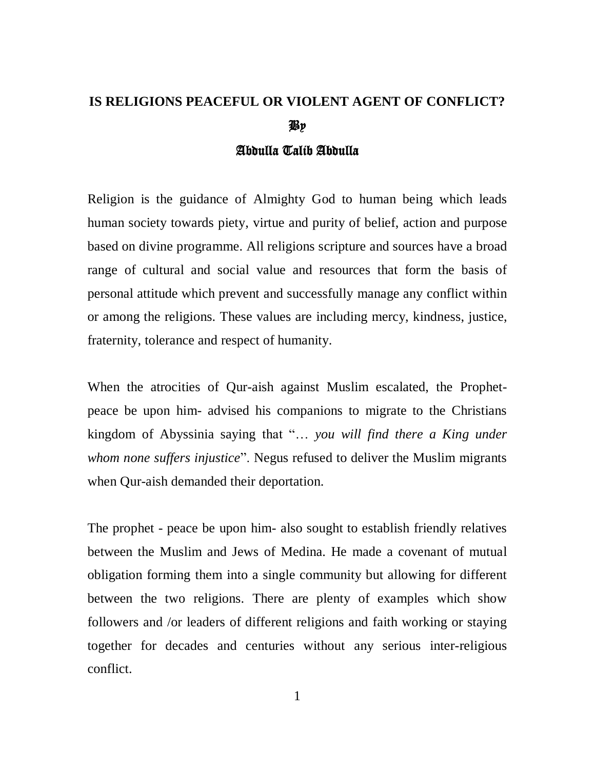## **IS RELIGIONS PEACEFUL OR VIOLENT AGENT OF CONFLICT?** By

## Abdulla Talib Abdulla

Religion is the guidance of Almighty God to human being which leads human society towards piety, virtue and purity of belief, action and purpose based on divine programme. All religions scripture and sources have a broad range of cultural and social value and resources that form the basis of personal attitude which prevent and successfully manage any conflict within or among the religions. These values are including mercy, kindness, justice, fraternity, tolerance and respect of humanity.

When the atrocities of Qur-aish against Muslim escalated, the Prophetpeace be upon him- advised his companions to migrate to the Christians kingdom of Abyssinia saying that "… *you will find there a King under whom none suffers injustice*". Negus refused to deliver the Muslim migrants when Qur-aish demanded their deportation.

The prophet - peace be upon him- also sought to establish friendly relatives between the Muslim and Jews of Medina. He made a covenant of mutual obligation forming them into a single community but allowing for different between the two religions. There are plenty of examples which show followers and /or leaders of different religions and faith working or staying together for decades and centuries without any serious inter-religious conflict.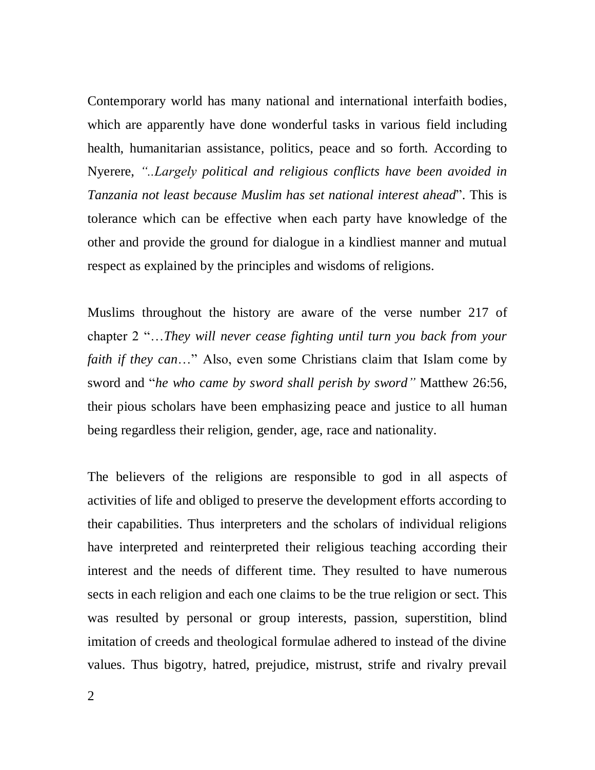Contemporary world has many national and international interfaith bodies, which are apparently have done wonderful tasks in various field including health, humanitarian assistance, politics, peace and so forth. According to Nyerere, *"..Largely political and religious conflicts have been avoided in Tanzania not least because Muslim has set national interest ahead*". This is tolerance which can be effective when each party have knowledge of the other and provide the ground for dialogue in a kindliest manner and mutual respect as explained by the principles and wisdoms of religions.

Muslims throughout the history are aware of the verse number 217 of chapter 2 "…*They will never cease fighting until turn you back from your faith if they can*…" Also, even some Christians claim that Islam come by sword and "*he who came by sword shall perish by sword"* Matthew 26:56, their pious scholars have been emphasizing peace and justice to all human being regardless their religion, gender, age, race and nationality.

The believers of the religions are responsible to god in all aspects of activities of life and obliged to preserve the development efforts according to their capabilities. Thus interpreters and the scholars of individual religions have interpreted and reinterpreted their religious teaching according their interest and the needs of different time. They resulted to have numerous sects in each religion and each one claims to be the true religion or sect. This was resulted by personal or group interests, passion, superstition, blind imitation of creeds and theological formulae adhered to instead of the divine values. Thus bigotry, hatred, prejudice, mistrust, strife and rivalry prevail